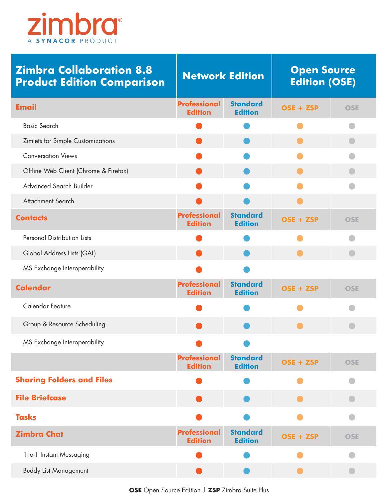

| <b>Zimbra Collaboration 8.8</b><br><b>Product Edition Comparison</b> | <b>Network Edition</b>                |                                   | <b>Open Source</b><br><b>Edition (OSE)</b> |            |
|----------------------------------------------------------------------|---------------------------------------|-----------------------------------|--------------------------------------------|------------|
| <b>Email</b>                                                         | <b>Professional</b><br><b>Edition</b> | <b>Standard</b><br><b>Edition</b> | OSE + ZSP                                  | <b>OSE</b> |
| <b>Basic Search</b>                                                  |                                       |                                   |                                            |            |
| Zimlets for Simple Customizations                                    |                                       |                                   |                                            |            |
| <b>Conversation Views</b>                                            |                                       |                                   |                                            |            |
| Offline Web Client (Chrome & Firefox)                                |                                       |                                   |                                            |            |
| Advanced Search Builder                                              |                                       |                                   |                                            |            |
| <b>Attachment Search</b>                                             |                                       |                                   |                                            |            |
| <b>Contacts</b>                                                      | <b>Professional</b><br><b>Edition</b> | <b>Standard</b><br><b>Edition</b> | OSE + ZSP                                  | <b>OSE</b> |
| <b>Personal Distribution Lists</b>                                   |                                       |                                   |                                            |            |
| Global Address Lists (GAL)                                           |                                       |                                   |                                            |            |
| MS Exchange Interoperability                                         |                                       |                                   |                                            |            |
| <b>Calendar</b>                                                      | <b>Professional</b><br><b>Edition</b> | <b>Standard</b><br><b>Edition</b> | OSE + ZSP                                  | <b>OSE</b> |
| Calendar Feature                                                     |                                       |                                   |                                            |            |
| Group & Resource Scheduling                                          |                                       |                                   |                                            |            |
| MS Exchange Interoperability                                         |                                       |                                   |                                            |            |
|                                                                      | <b>Professional</b><br><b>Edition</b> | <b>Standard</b><br><b>Edition</b> | OSE + ZSP                                  | <b>OSE</b> |
| <b>Sharing Folders and Files</b>                                     |                                       |                                   |                                            |            |
| <b>File Briefcase</b>                                                |                                       |                                   |                                            |            |
| <b>Tasks</b>                                                         |                                       |                                   |                                            |            |
| <b>Zimbra Chat</b>                                                   | <b>Professional</b><br><b>Edition</b> | <b>Standard</b><br><b>Edition</b> | OSE + ZSP                                  | <b>OSE</b> |
| 1-to-1 Instant Messaging                                             |                                       |                                   |                                            |            |
| <b>Buddy List Management</b>                                         |                                       |                                   |                                            |            |

 **OSE** Open Source Edition | **ZSP** Zimbra Suite Plus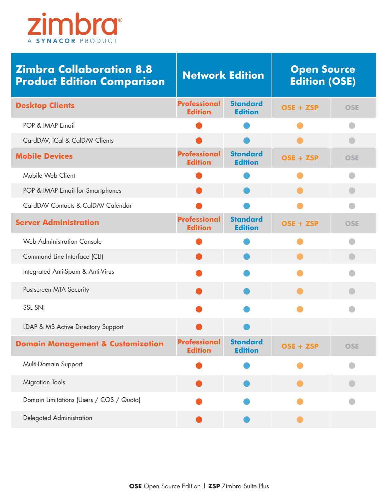

| <b>Zimbra Collaboration 8.8</b><br><b>Product Edition Comparison</b> | <b>Network Edition</b>                |                                   | <b>Open Source</b><br><b>Edition (OSE)</b> |            |
|----------------------------------------------------------------------|---------------------------------------|-----------------------------------|--------------------------------------------|------------|
| <b>Desktop Clients</b>                                               | <b>Professional</b><br><b>Edition</b> | <b>Standard</b><br><b>Edition</b> | OSE + ZSP                                  | <b>OSE</b> |
| POP & IMAP Email                                                     |                                       |                                   |                                            |            |
| CardDAV, iCal & CalDAV Clients                                       |                                       |                                   |                                            |            |
| <b>Mobile Devices</b>                                                | <b>Professional</b><br><b>Edition</b> | <b>Standard</b><br><b>Edition</b> | OSE + ZSP                                  | <b>OSE</b> |
| Mobile Web Client                                                    |                                       |                                   |                                            |            |
| POP & IMAP Email for Smartphones                                     |                                       |                                   |                                            |            |
| CardDAV Contacts & CalDAV Calendar                                   |                                       |                                   |                                            |            |
| <b>Server Administration</b>                                         | <b>Professional</b><br><b>Edition</b> | <b>Standard</b><br><b>Edition</b> | OSE + ZSP                                  | <b>OSE</b> |
| <b>Web Administration Console</b>                                    |                                       |                                   |                                            |            |
| Command Line Interface (CLI)                                         |                                       |                                   |                                            |            |
| Integrated Anti-Spam & Anti-Virus                                    |                                       |                                   |                                            |            |
| Postscreen MTA Security                                              |                                       |                                   |                                            |            |
| <b>SSL SNI</b>                                                       |                                       |                                   |                                            |            |
| LDAP & MS Active Directory Support                                   |                                       |                                   |                                            |            |
| <b>Domain Management &amp; Customization</b>                         | <b>Professional</b><br><b>Edition</b> | <b>Standard</b><br><b>Edition</b> | OSE + ZSP                                  | <b>OSE</b> |
| Multi-Domain Support                                                 |                                       |                                   |                                            |            |
| <b>Migration Tools</b>                                               |                                       |                                   |                                            |            |
| Domain Limitations (Users / COS / Quota)                             |                                       |                                   |                                            |            |
| Delegated Administration                                             |                                       |                                   |                                            |            |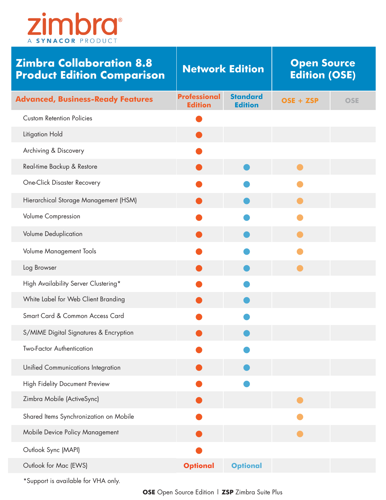

| <b>Zimbra Collaboration 8.8</b><br><b>Product Edition Comparison</b> | <b>Network Edition</b>                |                                   | <b>Open Source</b><br><b>Edition (OSE)</b> |            |
|----------------------------------------------------------------------|---------------------------------------|-----------------------------------|--------------------------------------------|------------|
| <b>Advanced, Business-Ready Features</b>                             | <b>Professional</b><br><b>Edition</b> | <b>Standard</b><br><b>Edition</b> | OSE + ZSP                                  | <b>OSE</b> |
| <b>Custom Retention Policies</b>                                     |                                       |                                   |                                            |            |
| Litigation Hold                                                      |                                       |                                   |                                            |            |
| Archiving & Discovery                                                |                                       |                                   |                                            |            |
| Real-time Backup & Restore                                           |                                       |                                   |                                            |            |
| <b>One-Click Disaster Recovery</b>                                   |                                       |                                   |                                            |            |
| Hierarchical Storage Management (HSM)                                |                                       |                                   |                                            |            |
| Volume Compression                                                   |                                       |                                   |                                            |            |
| Volume Deduplication                                                 |                                       |                                   |                                            |            |
| Volume Management Tools                                              |                                       |                                   |                                            |            |
| Log Browser                                                          |                                       |                                   |                                            |            |
| High Availability Server Clustering*                                 |                                       |                                   |                                            |            |
| White Label for Web Client Branding                                  |                                       |                                   |                                            |            |
| Smart Card & Common Access Card                                      |                                       |                                   |                                            |            |
| S/MIME Digital Signatures & Encryption                               |                                       |                                   |                                            |            |
| <b>Two-Factor Authentication</b>                                     |                                       |                                   |                                            |            |
| Unified Communications Integration                                   |                                       |                                   |                                            |            |
| High Fidelity Document Preview                                       |                                       |                                   |                                            |            |
| Zimbra Mobile (ActiveSync)                                           |                                       |                                   |                                            |            |
| Shared Items Synchronization on Mobile                               |                                       |                                   |                                            |            |
| Mobile Device Policy Management                                      |                                       |                                   |                                            |            |
| Outlook Sync (MAPI)                                                  |                                       |                                   |                                            |            |
| Outlook for Mac (EWS)                                                | <b>Optional</b>                       | <b>Optional</b>                   |                                            |            |

\*Support is available for VHA only.

 **OSE** Open Source Edition | **ZSP** Zimbra Suite Plus